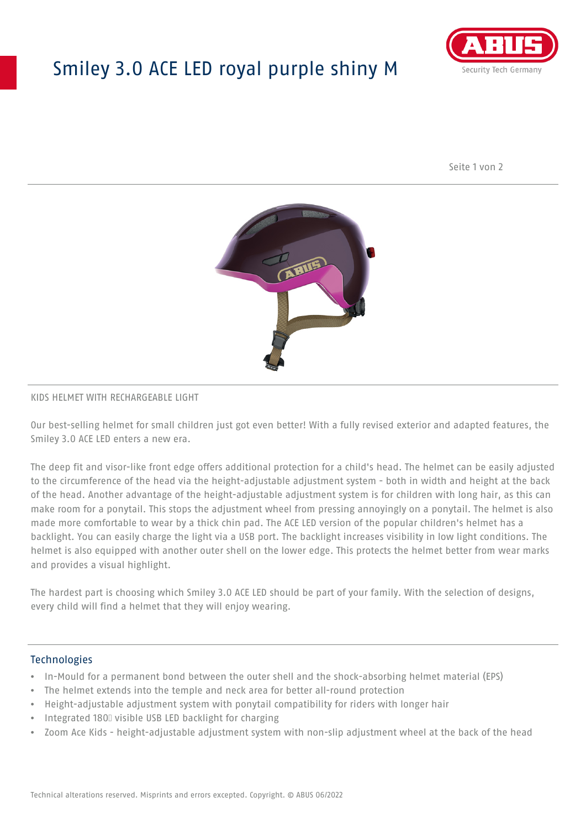# Smiley 3.0 ACE LED royal purple shiny M



Seite 1 von 2



#### KIDS HELMET WITH RECHARGEABLE LIGHT

Our best-selling helmet for small children just got even better! With a fully revised exterior and adapted features, the Smiley 3.0 ACE LED enters a new era.

The deep fit and visor-like front edge offers additional protection for a child's head. The helmet can be easily adjusted to the circumference of the head via the height-adjustable adjustment system - both in width and height at the back of the head. Another advantage of the height-adjustable adjustment system is for children with long hair, as this can make room for a ponytail. This stops the adjustment wheel from pressing annoyingly on a ponytail. The helmet is also made more comfortable to wear by a thick chin pad. The ACE LED version of the popular children's helmet has a backlight. You can easily charge the light via a USB port. The backlight increases visibility in low light conditions. The helmet is also equipped with another outer shell on the lower edge. This protects the helmet better from wear marks and provides a visual highlight.

The hardest part is choosing which Smiley 3.0 ACE LED should be part of your family. With the selection of designs, every child will find a helmet that they will enjoy wearing.

#### **Technologies**

- In-Mould for a permanent bond between the outer shell and the shock-absorbing helmet material (EPS)
- The helmet extends into the temple and neck area for better all-round protection
- Height-adjustable adjustment system with ponytail compatibility for riders with longer hair
- Integrated 180⁰ visible USB LED backlight for charging
- Zoom Ace Kids height-adjustable adjustment system with non-slip adjustment wheel at the back of the head